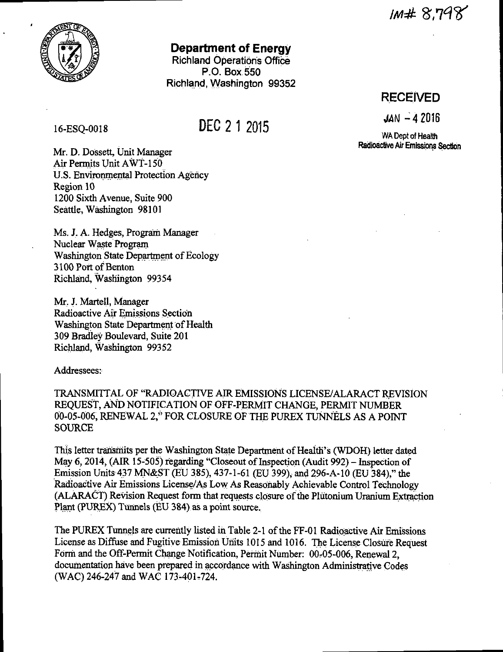IM# 8.798



### **Department of Energy**

**Richland Operations Office** P.O. Box 550 Richland, Washington 99352

#### 16-ESO-0018

# DEC 2 1 2015

**RECEIVED** 

 $JAN - 42016$ 

WA Dept of Health Radioactive Air Emissions Section

Mr. D. Dossett, Unit Manager Air Permits Unit AWT-150 U.S. Environmental Protection Agency Region 10 1200 Sixth Avenue, Suite 900 Seattle, Washington 98101

Ms. J. A. Hedges, Program Manager Nuclear Waste Program Washington State Department of Ecology 3100 Port of Benton Richland, Washington 99354

Mr. J. Martell, Manager Radioactive Air Emissions Section Washington State Department of Health 309 Bradley Boulevard, Suite 201 Richland, Washington 99352

Addressees:

TRANSMITTAL OF "RADIOACTIVE AIR EMISSIONS LICENSE/ALARACT REVISION REQUEST, AND NOTIFICATION OF OFF-PERMIT CHANGE, PERMIT NUMBER 00-05-006, RENEWAL 2," FOR CLOSURE OF THE PUREX TUNNELS AS A POINT **SOURCE** 

This letter transmits per the Washington State Department of Health's (WDOH) letter dated May 6, 2014, (AIR 15-505) regarding "Closeout of Inspection (Audit 992) – Inspection of Emission Units 437 MN&ST (EU 385), 437-1-61 (EU 399), and 296-A-10 (EU 384)," the Radioactive Air Emissions License/As Low As Reasonably Achievable Control Technology (ALARACT) Revision Request form that requests closure of the Plutonium Uranium Extraction Plant (PUREX) Tunnels (EU 384) as a point source.

The PUREX Tunnels are currently listed in Table 2-1 of the FF-01 Radioactive Air Emissions License as Diffuse and Fugitive Emission Units 1015 and 1016. The License Closure Request Form and the Off-Permit Change Notification, Permit Number: 00-05-006, Renewal 2, documentation have been prepared in accordance with Washington Administrative Codes (WAC) 246-247 and WAC 173-401-724.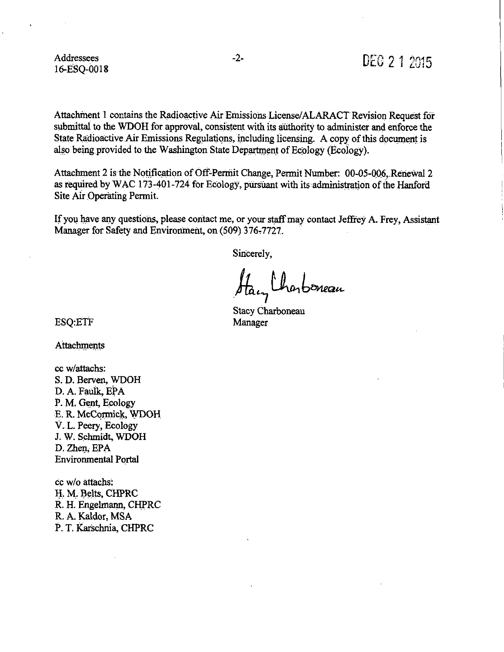Addressees 16-ESQ-0018

Attachment 1 contains the Radioactive Air Emissions License/ALARACT Revision Request for submittal to the WDOH for approval, consistent with its authority to administer and enforce the State Radioactive Air Emissions Regulations, including licensing. A copy of this document is also being provided to the Washington State Department of Ecology (Ecology).

Attachment 2 is the Notification of Off-Permit Change, Permit Number: 00-05-006, Renewal 2 as required by WAC 173-401-724 for Ecology, pursuant with its administration of the Hanford Site Air Operating Permit.

If you have any questions, please contact me, or your staff may contact Jeffrey A. Frey, Assistant Manager for Safety and Environment, on (509) 376-7727.

Sincerely,

A, *t4i~Qt<-* . **<sup>7</sup>**

Stacy Charboneau Manager

ESQ:ETF

Attachments

cc w/attachs: S. D. Berven, WDOH D. A. Faulk, EPA P. M. Gent, Ecology E. R. McCormick, WDOH V .. L. Peery, Ecology J. W. Schmidt, WDOH D. Zhen, EPA Environmental Portal

cc w/o attachs: H. M. Belts, CHPRC R. H. Engelmann, CHPRC R. A. Kaldor, MSA P. T. Karschnia, CHPRC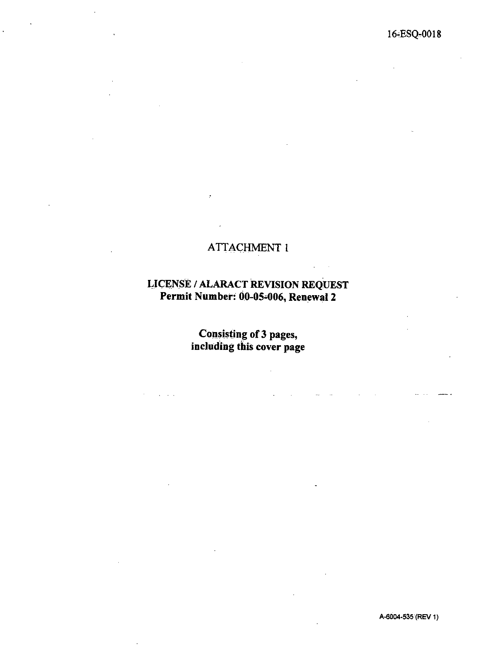### ATTACHMENT l

#### LICENSE / ALARACT REVISION REQUEST Permit Number: 00-05-006, Renewal 2

Consisting of 3 pages, including this cover page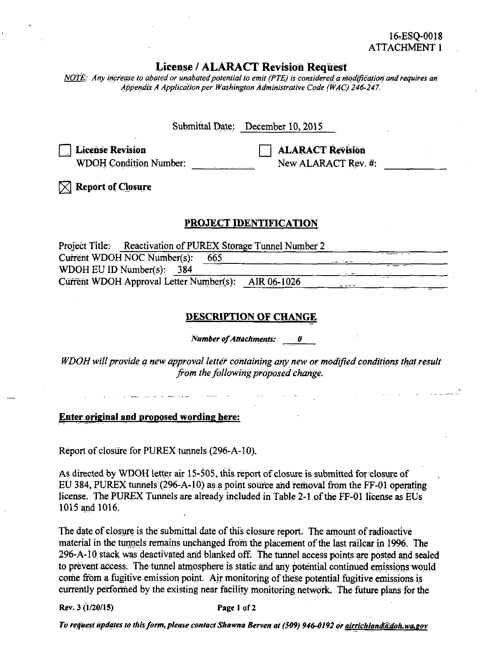#### 16-ESQ-0018 **ATTACHMENT 1**

#### **License / ALARACT Revision Request**

NOTE: Any increase to abated or unabated potential to emit (PTE) is considered a modification and requires an Appendix A Application per Washington Administrative Code (WAC) 246-247.

| Submittal Date: December 10, 2015                                                                                                    |
|--------------------------------------------------------------------------------------------------------------------------------------|
| <b>ALARACT Revision</b><br><b>License Revision</b><br><b>WDOH Condition Number:</b><br>New ALARACT Rev. #:                           |
| <b>Report of Closure</b>                                                                                                             |
| <b>PROJECT IDENTIFICATION</b>                                                                                                        |
| Project Title: Reactivation of PUREX Storage Tunnel Number 2                                                                         |
| Current WDOH NOC Number(s):<br>665                                                                                                   |
| WDOH EU ID Number(s): $384$                                                                                                          |
| Current WDOH Approval Letter Number(s): AIR 06-1026                                                                                  |
|                                                                                                                                      |
| <u>DESCRIPTION OF CHANGE</u>                                                                                                         |
| <b>Number of Attachments: 0</b>                                                                                                      |
| WDOH will provide a new approval letter containing any new or modified conditions that result<br>from the following proposed change. |

**Enter original and proposed wording here:** 

Report of closure for PUREX tunnels (296-A-10).

As directed by WDOH letter air 15-505, this report of closure is submitted for closure of EU 384, PUREX tunnels (296-A-10) as a point source and removal from the FF-01 operating license. The PUREX Tunnels are already included in Table 2-1 of the FF-01 license as EUs 1015 and 1016.

The date of closure is the submittal date of this closure report. The amount of radioactive material in the tunnels remains unchanged from the placement of the last railcar in 1996. The 296-A-10 stack was deactivated and blanked off. The tunnel access points are posted and sealed to prevent access. The tunnel atmosphere is static and any potential continued emissions would come from a fugitive emission point. Air monitoring of these potential fugitive emissions is currently performed by the existing near facility monitoring network. The future plans for the

Rev. 3 (1/20/15)

Page 1 of 2

To request updates to this form, please contact Shawna Berven at (509) 946-0192 or airrichland@doh.wa.gov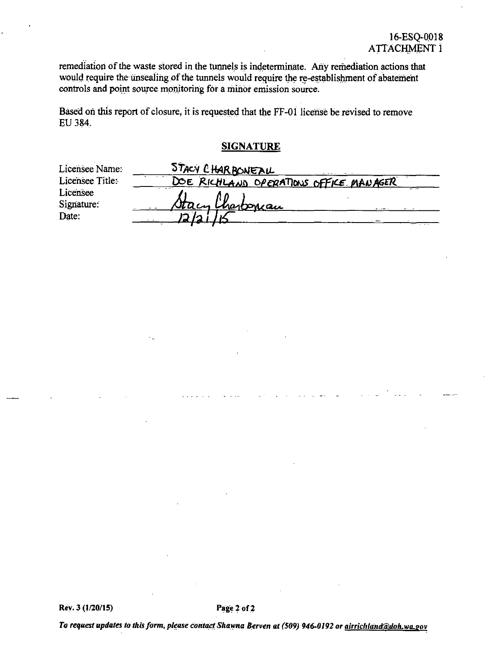remediation of the waste stored in the tunnels is indeterminate. Any remediation actions that would require the unsealing of the tunnels would require the re-establishment of abatement controls and point source monitoring for a minor emission source.

Based on this report of closure, it is requested that the FF-01 license be revised to remove EU384.

#### **SIGNATURE**

| Licensee Name:  | STACY CHARBONEAU                       |
|-----------------|----------------------------------------|
| Licensee Title: | DOE RICHLAND OPERATIONS OFFICE MANAGER |
| Licensee        |                                        |
| Signature:      | Stacy Charbonian                       |
| Date:           |                                        |
|                 |                                        |

To request updates to this form, please contact Shawna Berven at (509) 946-0192 or <u>airrichland@doh.wa.gov</u>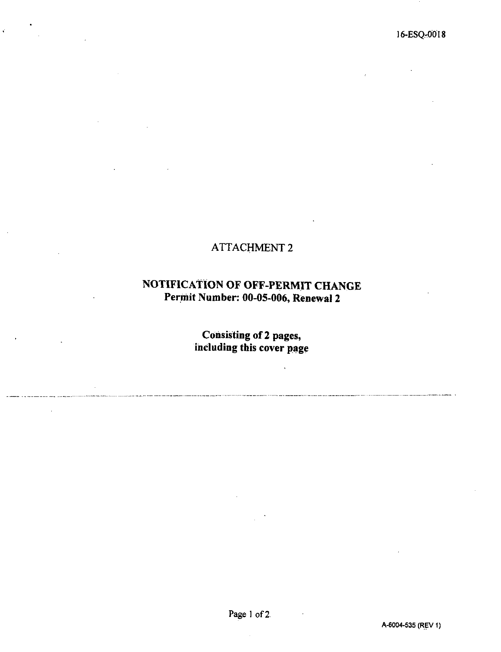## ATTACHMENT 2

 $\frac{1}{2}$ 

## **NOTIFICATION OF OFF-PERMIT CHANGE Per.mit Number: 00-05-006, Renewal 2**

**Consisting of 2 pages, including this cover page** 

 $\ddot{\phantom{a}}$ 

---,. - ·------- --··· ,\_, \_\_ ., \_\_\_\_ ----··-- .. ··-·-·------ ----.. ·-· ·---" --- --------------------···--·- ------------·----~ -------·····---···--·-·---· .. ··········--······------·--·· ···-··---·--.

 $\bar{z}$